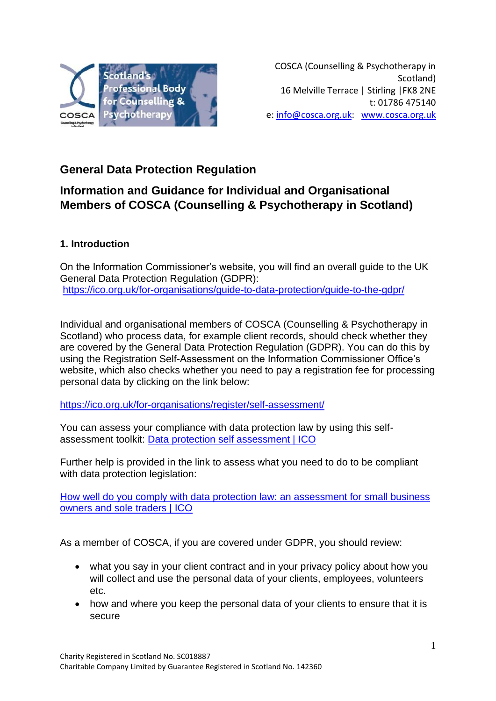

COSCA (Counselling & Psychotherapy in Scotland) 16 Melville Terrace | Stirling |FK8 2NE t: 01786 475140 e: [info@cosca.org.uk:](mailto:info@cosca.org.uk) [www.cosca.org.uk](http://www.cosca.org.uk/)

# **General Data Protection Regulation**

# **Information and Guidance for Individual and Organisational Members of COSCA (Counselling & Psychotherapy in Scotland)**

# **1. Introduction**

On the Information Commissioner's website, you will find an overall guide to the UK General Data Protection Regulation (GDPR): <https://ico.org.uk/for-organisations/guide-to-data-protection/guide-to-the-gdpr/>

Individual and organisational members of COSCA (Counselling & Psychotherapy in Scotland) who process data, for example client records, should check whether they are covered by the General Data Protection Regulation (GDPR). You can do this by using the Registration Self-Assessment on the Information Commissioner Office's website, which also checks whether you need to pay a registration fee for processing personal data by clicking on the link below:

<https://ico.org.uk/for-organisations/register/self-assessment/>

You can assess your compliance with data protection law by using this selfassessment toolkit: [Data protection self assessment | ICO](https://ico.org.uk/for-organisations/sme-web-hub/checklists/data-protection-self-assessment/)

Further help is provided in the link to assess what you need to do to be compliant with data protection legislation:

[How well do you comply with data protection law: an assessment for small business](https://ico.org.uk/for-organisations/sme-web-hub/checklists/assessment-for-small-business-owners-and-sole-traders/)  [owners and sole traders | ICO](https://ico.org.uk/for-organisations/sme-web-hub/checklists/assessment-for-small-business-owners-and-sole-traders/)

As a member of COSCA, if you are covered under GDPR, you should review:

- what you say in your client contract and in your privacy policy about how you will collect and use the personal data of your clients, employees, volunteers etc.
- how and where you keep the personal data of your clients to ensure that it is secure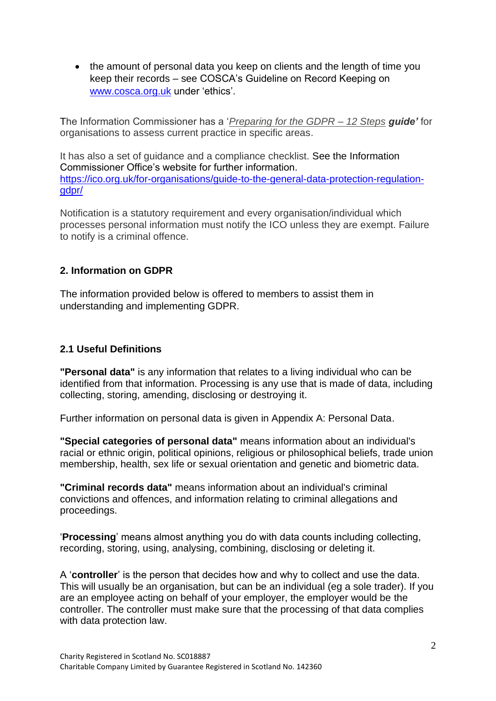• the amount of personal data you keep on clients and the length of time you keep their records – see COSCA's Guideline on Record Keeping on [www.cosca.org.uk](http://www.cosca.org.uk/) under 'ethics'.

The Information Commissioner has a '*[Preparing for the GDPR –](https://ico.org.uk/media/1624219/preparing-for-the-gdpr-12-steps.pdf) 12 Steps guide'* for organisations to assess current practice in specific areas.

It has also a set of guidance and a compliance checklist. See the Information Commissioner Office's website for further information. [https://ico.org.uk/for-organisations/guide-to-the-general-data-protection-regulation](https://ico.org.uk/for-organisations/guide-to-the-general-data-protection-regulation-gdpr/)[gdpr/](https://ico.org.uk/for-organisations/guide-to-the-general-data-protection-regulation-gdpr/)

Notification is a statutory requirement and every organisation/individual which processes personal information must notify the ICO unless they are exempt. Failure to notify is a criminal offence.

## **2. Information on GDPR**

The information provided below is offered to members to assist them in understanding and implementing GDPR.

## **2.1 Useful Definitions**

**"Personal data"** is any information that relates to a living individual who can be identified from that information. Processing is any use that is made of data, including collecting, storing, amending, disclosing or destroying it.

Further information on personal data is given in Appendix A: Personal Data.

**"Special categories of personal data"** means information about an individual's racial or ethnic origin, political opinions, religious or philosophical beliefs, trade union membership, health, sex life or sexual orientation and genetic and biometric data.

**"Criminal records data"** means information about an individual's criminal convictions and offences, and information relating to criminal allegations and proceedings.

'**Processing**' means almost anything you do with data counts including collecting, recording, storing, using, analysing, combining, disclosing or deleting it.

A '**controller**' is the person that decides how and why to collect and use the data. This will usually be an organisation, but can be an individual (eg a sole trader). If you are an employee acting on behalf of your employer, the employer would be the controller. The controller must make sure that the processing of that data complies with data protection law.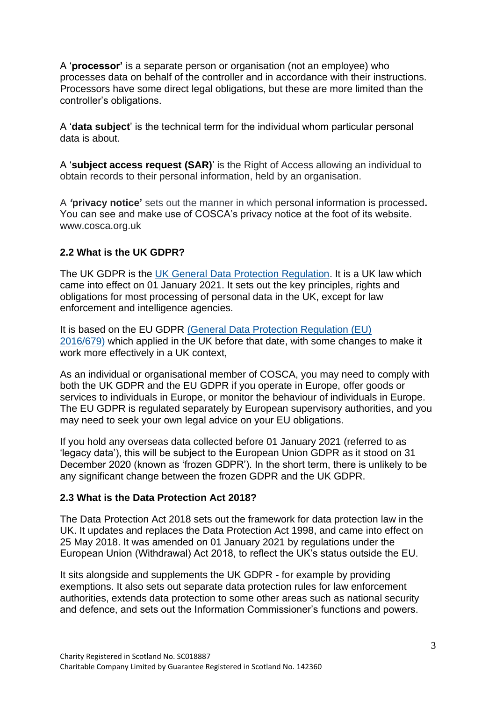A '**processor'** is a separate person or organisation (not an employee) who processes data on behalf of the controller and in accordance with their instructions. Processors have some direct legal obligations, but these are more limited than the controller's obligations.

A '**data subject**' is the technical term for the individual whom particular personal data is about.

A '**subject access request (SAR)**' is the Right of Access allowing an individual to obtain records to their personal information, held by an organisation.

A *'***privacy notice'** sets out the manner in which personal information is processed**.** You can see and make use of COSCA's privacy notice at the foot of its website. www.cosca.org.uk

# **2.2 What is the UK GDPR?**

The UK GDPR is the [UK General Data Protection Regulation.](https://www.legislation.gov.uk/eur/2016/679/contents) It is a UK law which came into effect on 01 January 2021. It sets out the key principles, rights and obligations for most processing of personal data in the UK, except for law enforcement and intelligence agencies.

It is based on the EU GDPR [\(General Data Protection Regulation \(EU\)](https://eur-lex.europa.eu/legal-content/EN/TXT/PDF/?uri=CELEX:32016R0679&from=EN)  [2016/679\)](https://eur-lex.europa.eu/legal-content/EN/TXT/PDF/?uri=CELEX:32016R0679&from=EN) which applied in the UK before that date, with some changes to make it work more effectively in a UK context,

As an individual or organisational member of COSCA, you may need to comply with both the UK GDPR and the EU GDPR if you operate in Europe, offer goods or services to individuals in Europe, or monitor the behaviour of individuals in Europe. The EU GDPR is regulated separately by European supervisory authorities, and you may need to seek your own legal advice on your EU obligations.

If you hold any overseas data collected before 01 January 2021 (referred to as 'legacy data'), this will be subject to the European Union GDPR as it stood on 31 December 2020 (known as 'frozen GDPR'). In the short term, there is unlikely to be any significant change between the frozen GDPR and the UK GDPR.

### **2.3 What is the Data Protection Act 2018?**

The Data Protection Act 2018 sets out the framework for data protection law in the UK. It updates and replaces the Data Protection Act 1998, and came into effect on 25 May 2018. It was amended on 01 January 2021 by regulations under the European Union (Withdrawal) Act 2018, to reflect the UK's status outside the EU.

It sits alongside and supplements the UK GDPR - for example by providing exemptions. It also sets out separate data protection rules for law enforcement authorities, extends data protection to some other areas such as national security and defence, and sets out the Information Commissioner's functions and powers.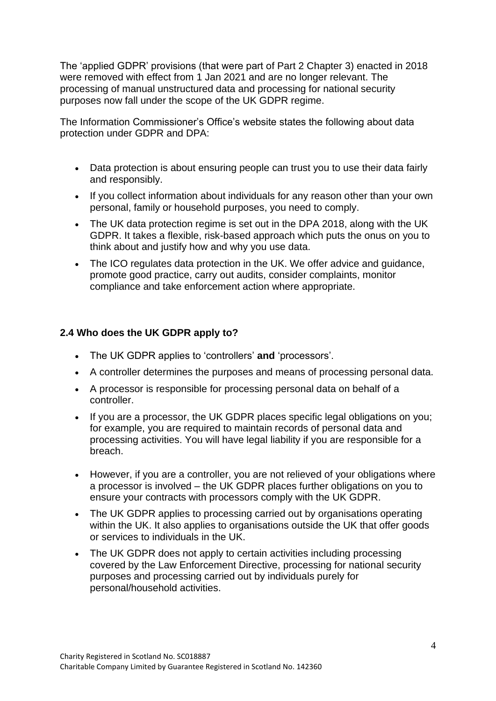The 'applied GDPR' provisions (that were part of Part 2 Chapter 3) enacted in 2018 were removed with effect from 1 Jan 2021 and are no longer relevant. The processing of manual unstructured data and processing for national security purposes now fall under the scope of the UK GDPR regime.

The Information Commissioner's Office's website states the following about data protection under GDPR and DPA:

- Data protection is about ensuring people can trust you to use their data fairly and responsibly.
- If you collect information about individuals for any reason other than your own personal, family or household purposes, you need to comply.
- The UK data protection regime is set out in the DPA 2018, along with the UK GDPR. It takes a flexible, risk-based approach which puts the onus on you to think about and justify how and why you use data.
- The ICO regulates data protection in the UK. We offer advice and guidance, promote good practice, carry out audits, consider complaints, monitor compliance and take enforcement action where appropriate.

### **2.4 Who does the UK GDPR apply to?**

- The UK GDPR applies to 'controllers' **and** 'processors'.
- A controller determines the purposes and means of processing personal data.
- A processor is responsible for processing personal data on behalf of a controller.
- If you are a processor, the UK GDPR places specific legal obligations on you; for example, you are required to maintain records of personal data and processing activities. You will have legal liability if you are responsible for a breach.
- However, if you are a controller, you are not relieved of your obligations where a processor is involved – the UK GDPR places further obligations on you to ensure your contracts with processors comply with the UK GDPR.
- The UK GDPR applies to processing carried out by organisations operating within the UK. It also applies to organisations outside the UK that offer goods or services to individuals in the UK.
- The UK GDPR does not apply to certain activities including processing covered by the Law Enforcement Directive, processing for national security purposes and processing carried out by individuals purely for personal/household activities.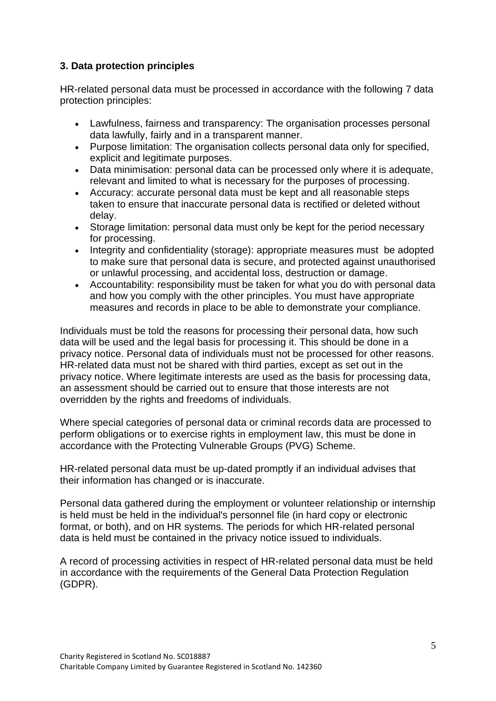# **3. Data protection principles**

HR-related personal data must be processed in accordance with the following 7 data protection principles:

- Lawfulness, fairness and transparency: The organisation processes personal data lawfully, fairly and in a transparent manner.
- Purpose limitation: The organisation collects personal data only for specified, explicit and legitimate purposes.
- Data minimisation: personal data can be processed only where it is adequate, relevant and limited to what is necessary for the purposes of processing.
- Accuracy: accurate personal data must be kept and all reasonable steps taken to ensure that inaccurate personal data is rectified or deleted without delay.
- Storage limitation: personal data must only be kept for the period necessary for processing.
- Integrity and confidentiality (storage): appropriate measures must be adopted to make sure that personal data is secure, and protected against unauthorised or unlawful processing, and accidental loss, destruction or damage.
- Accountability: responsibility must be taken for what you do with personal data and how you comply with the other principles. You must have appropriate measures and records in place to be able to demonstrate your compliance.

Individuals must be told the reasons for processing their personal data, how such data will be used and the legal basis for processing it. This should be done in a privacy notice. Personal data of individuals must not be processed for other reasons. HR-related data must not be shared with third parties, except as set out in the privacy notice. Where legitimate interests are used as the basis for processing data, an assessment should be carried out to ensure that those interests are not overridden by the rights and freedoms of individuals.

Where special categories of personal data or criminal records data are processed to perform obligations or to exercise rights in employment law, this must be done in accordance with the Protecting Vulnerable Groups (PVG) Scheme.

HR-related personal data must be up-dated promptly if an individual advises that their information has changed or is inaccurate.

Personal data gathered during the employment or volunteer relationship or internship is held must be held in the individual's personnel file (in hard copy or electronic format, or both), and on HR systems. The periods for which HR-related personal data is held must be contained in the privacy notice issued to individuals.

A record of processing activities in respect of HR-related personal data must be held in accordance with the requirements of the General Data Protection Regulation (GDPR).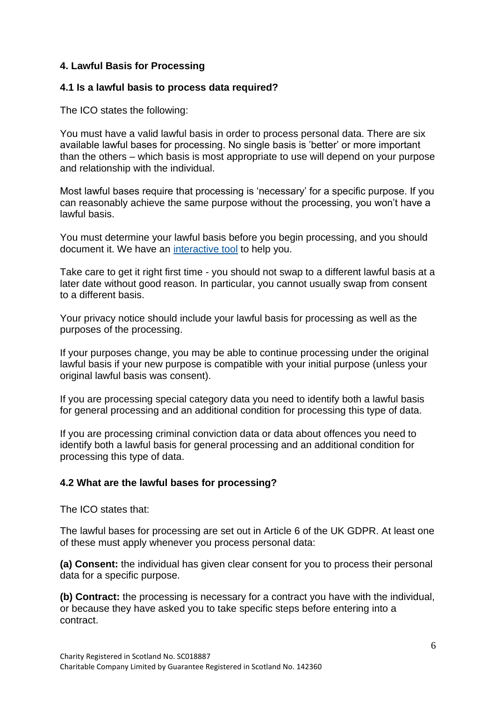# **4. Lawful Basis for Processing**

#### **4.1 Is a lawful basis to process data required?**

The ICO states the following:

You must have a valid lawful basis in order to process personal data. There are six available lawful bases for processing. No single basis is 'better' or more important than the others – which basis is most appropriate to use will depend on your purpose and relationship with the individual.

Most lawful bases require that processing is 'necessary' for a specific purpose. If you can reasonably achieve the same purpose without the processing, you won't have a lawful basis.

You must determine your lawful basis before you begin processing, and you should document it. We have an [interactive tool](https://ico.org.uk/for-organisations/gdpr-resources/lawful-basis-interactive-guidance-tool/) to help you.

Take care to get it right first time - you should not swap to a different lawful basis at a later date without good reason. In particular, you cannot usually swap from consent to a different basis.

Your privacy notice should include your lawful basis for processing as well as the purposes of the processing.

If your purposes change, you may be able to continue processing under the original lawful basis if your new purpose is compatible with your initial purpose (unless your original lawful basis was consent).

If you are processing special category data you need to identify both a lawful basis for general processing and an additional condition for processing this type of data.

If you are processing criminal conviction data or data about offences you need to identify both a lawful basis for general processing and an additional condition for processing this type of data.

### **4.2 What are the lawful bases for processing?**

The ICO states that:

The lawful bases for processing are set out in Article 6 of the UK GDPR. At least one of these must apply whenever you process personal data:

**(a) Consent:** the individual has given clear consent for you to process their personal data for a specific purpose.

**(b) Contract:** the processing is necessary for a contract you have with the individual, or because they have asked you to take specific steps before entering into a contract.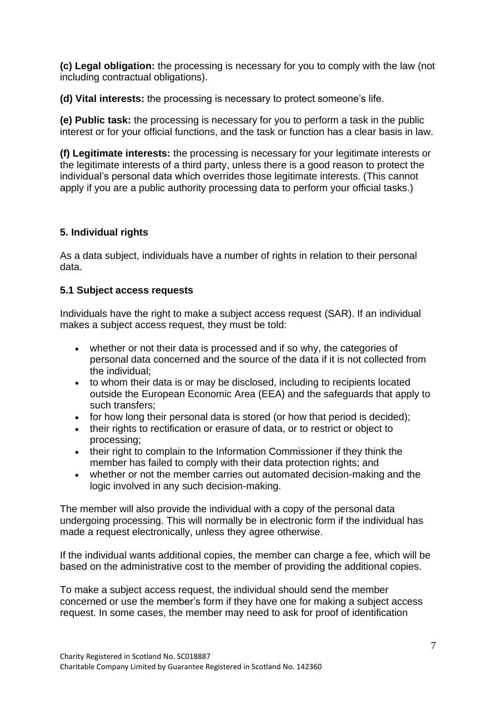**(c) Legal obligation:** the processing is necessary for you to comply with the law (not including contractual obligations).

**(d) Vital interests:** the processing is necessary to protect someone's life.

**(e) Public task:** the processing is necessary for you to perform a task in the public interest or for your official functions, and the task or function has a clear basis in law.

**(f) Legitimate interests:** the processing is necessary for your legitimate interests or the legitimate interests of a third party, unless there is a good reason to protect the individual's personal data which overrides those legitimate interests. (This cannot apply if you are a public authority processing data to perform your official tasks.)

# **5. Individual rights**

As a data subject, individuals have a number of rights in relation to their personal data.

## **5.1 Subject access requests**

Individuals have the right to make a subject access request (SAR). If an individual makes a subject access request, they must be told:

- whether or not their data is processed and if so why, the categories of personal data concerned and the source of the data if it is not collected from the individual;
- to whom their data is or may be disclosed, including to recipients located outside the European Economic Area (EEA) and the safeguards that apply to such transfers;
- for how long their personal data is stored (or how that period is decided);
- their rights to rectification or erasure of data, or to restrict or object to processing;
- their right to complain to the Information Commissioner if they think the member has failed to comply with their data protection rights; and
- whether or not the member carries out automated decision-making and the logic involved in any such decision-making.

The member will also provide the individual with a copy of the personal data undergoing processing. This will normally be in electronic form if the individual has made a request electronically, unless they agree otherwise.

If the individual wants additional copies, the member can charge a fee, which will be based on the administrative cost to the member of providing the additional copies.

To make a subject access request, the individual should send the member concerned or use the member's form if they have one [for making a subject access](http://www.xperthr.co.uk/policies-and-documents/form-for-making-a-subject-access-request-compliant-with-the-gdpr-/162694/)  [request.](http://www.xperthr.co.uk/policies-and-documents/form-for-making-a-subject-access-request-compliant-with-the-gdpr-/162694/) In some cases, the member may need to ask for proof of identification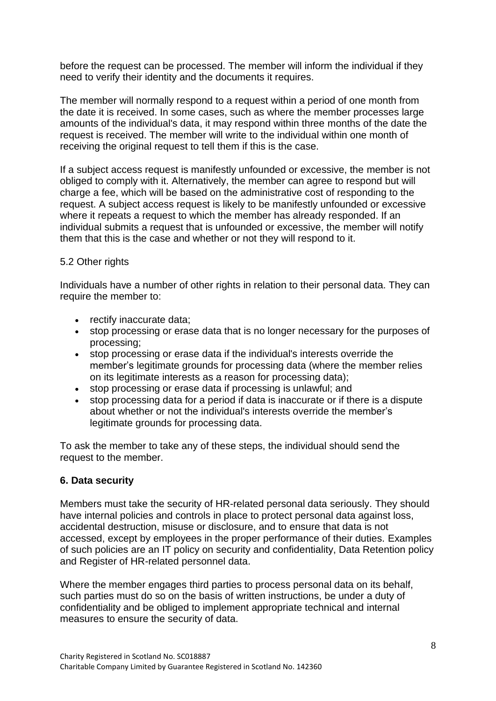before the request can be processed. The member will inform the individual if they need to verify their identity and the documents it requires.

The member will normally respond to a request within a period of one month from the date it is received. In some cases, such as where the member processes large amounts of the individual's data, it may respond within three months of the date the request is received. The member will write to the individual within one month of receiving the original request to tell them if this is the case.

If a subject access request is manifestly unfounded or excessive, the member is not obliged to comply with it. Alternatively, the member can agree to respond but will charge a fee, which will be based on the administrative cost of responding to the request. A subject access request is likely to be manifestly unfounded or excessive where it repeats a request to which the member has already responded. If an individual submits a request that is unfounded or excessive, the member will notify them that this is the case and whether or not they will respond to it.

## 5.2 Other rights

Individuals have a number of other rights in relation to their personal data. They can require the member to:

- rectify inaccurate data;
- stop processing or erase data that is no longer necessary for the purposes of processing;
- stop processing or erase data if the individual's interests override the member's legitimate grounds for processing data (where the member relies on its legitimate interests as a reason for processing data);
- stop processing or erase data if processing is unlawful; and
- stop processing data for a period if data is inaccurate or if there is a dispute about whether or not the individual's interests override the member's legitimate grounds for processing data.

To ask the member to take any of these steps, the individual should send the request to the member.

# **6. Data security**

Members must take the security of HR-related personal data seriously. They should have internal policies and controls in place to protect personal data against loss, accidental destruction, misuse or disclosure, and to ensure that data is not accessed, except by employees in the proper performance of their duties. Examples of such policies are an IT policy on security and confidentiality, Data Retention policy and Register of HR-related personnel data.

Where the member engages third parties to process personal data on its behalf, such parties must do so on the basis of written instructions, be under a duty of confidentiality and be obliged to implement appropriate technical and internal measures to ensure the security of data.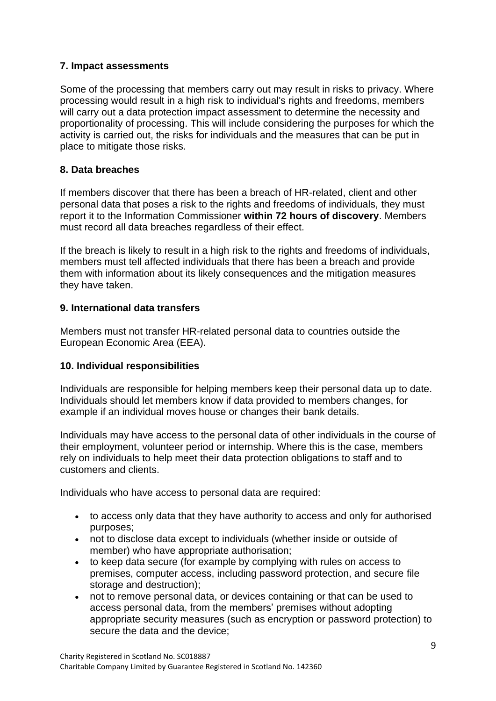# **7. Impact assessments**

Some of the processing that members carry out may result in risks to privacy. Where processing would result in a high risk to individual's rights and freedoms, members will carry out a data protection impact assessment to determine the necessity and proportionality of processing. This will include considering the purposes for which the activity is carried out, the risks for individuals and the measures that can be put in place to mitigate those risks.

# **8. Data breaches**

If members discover that there has been a breach of HR-related, client and other personal data that poses a risk to the rights and freedoms of individuals, they must report it to the Information Commissioner **within 72 hours of discovery**. Members must record all data breaches regardless of their effect.

If the breach is likely to result in a high risk to the rights and freedoms of individuals, members must tell affected individuals that there has been a breach and provide them with information about its likely consequences and the mitigation measures they have taken.

# **9. International data transfers**

Members must not transfer HR-related personal data to countries outside the European Economic Area (EEA).

# **10. Individual responsibilities**

Individuals are responsible for helping members keep their personal data up to date. Individuals should let members know if data provided to members changes, for example if an individual moves house or changes their bank details.

Individuals may have access to the personal data of other individuals in the course of their employment, volunteer period or internship. Where this is the case, members rely on individuals to help meet their data protection obligations to staff and to customers and clients.

Individuals who have access to personal data are required:

- to access only data that they have authority to access and only for authorised purposes;
- not to disclose data except to individuals (whether inside or outside of member) who have appropriate authorisation;
- to keep data secure (for example by complying with rules on access to premises, computer access, including password protection, and secure file storage and destruction);
- not to remove personal data, or devices containing or that can be used to access personal data, from the members' premises without adopting appropriate security measures (such as encryption or password protection) to secure the data and the device;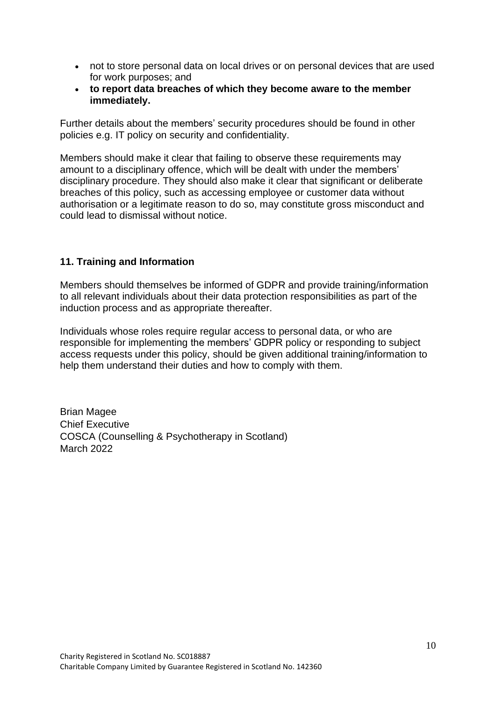- not to store personal data on local drives or on personal devices that are used for work purposes; and
- **to report data breaches of which they become aware to the member immediately.**

Further details about the members' security procedures should be found in other policies e.g. IT policy on security and confidentiality.

Members should make it clear that failing to observe these requirements may amount to a disciplinary offence, which will be dealt with under the members' disciplinary procedure. They should also make it clear that significant or deliberate breaches of this policy, such as accessing employee or customer data without authorisation or a legitimate reason to do so, may constitute gross misconduct and could lead to dismissal without notice.

## **11. Training and Information**

Members should themselves be informed of GDPR and provide training/information to all relevant individuals about their data protection responsibilities as part of the induction process and as appropriate thereafter.

Individuals whose roles require regular access to personal data, or who are responsible for implementing the members' GDPR policy or responding to subject access requests under this policy, should be given additional training/information to help them understand their duties and how to comply with them.

Brian Magee Chief Executive COSCA (Counselling & Psychotherapy in Scotland) March 2022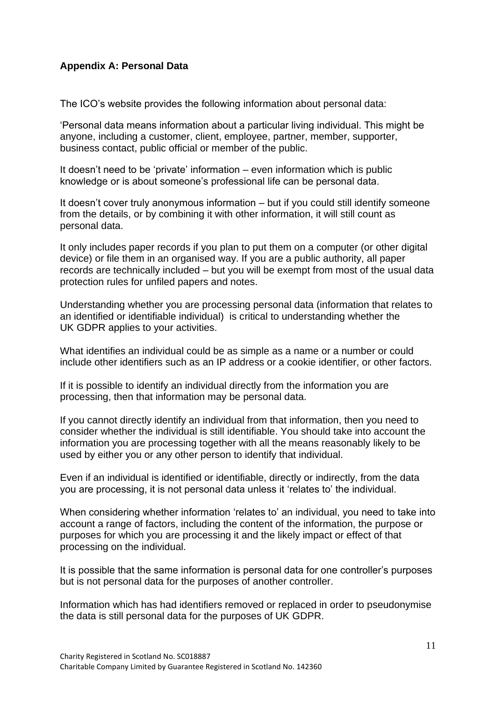# **Appendix A: Personal Data**

The ICO's website provides the following information about personal data:

'Personal data means information about a particular living individual. This might be anyone, including a customer, client, employee, partner, member, supporter, business contact, public official or member of the public.

It doesn't need to be 'private' information – even information which is public knowledge or is about someone's professional life can be personal data.

It doesn't cover truly anonymous information – but if you could still identify someone from the details, or by combining it with other information, it will still count as personal data.

It only includes paper records if you plan to put them on a computer (or other digital device) or file them in an organised way. If you are a public authority, all paper records are technically included – but you will be exempt from most of the usual data protection rules for unfiled papers and notes.

Understanding whether you are processing personal data (information that relates to an identified or identifiable individual) is critical to understanding whether the UK GDPR applies to your activities.

What identifies an individual could be as simple as a name or a number or could include other identifiers such as an IP address or a cookie identifier, or other factors.

If it is possible to identify an individual directly from the information you are processing, then that information may be personal data.

If you cannot directly identify an individual from that information, then you need to consider whether the individual is still identifiable. You should take into account the information you are processing together with all the means reasonably likely to be used by either you or any other person to identify that individual.

Even if an individual is identified or identifiable, directly or indirectly, from the data you are processing, it is not personal data unless it 'relates to' the individual.

When considering whether information 'relates to' an individual, you need to take into account a range of factors, including the content of the information, the purpose or purposes for which you are processing it and the likely impact or effect of that processing on the individual.

It is possible that the same information is personal data for one controller's purposes but is not personal data for the purposes of another controller.

Information which has had identifiers removed or replaced in order to pseudonymise the data is still personal data for the purposes of UK GDPR.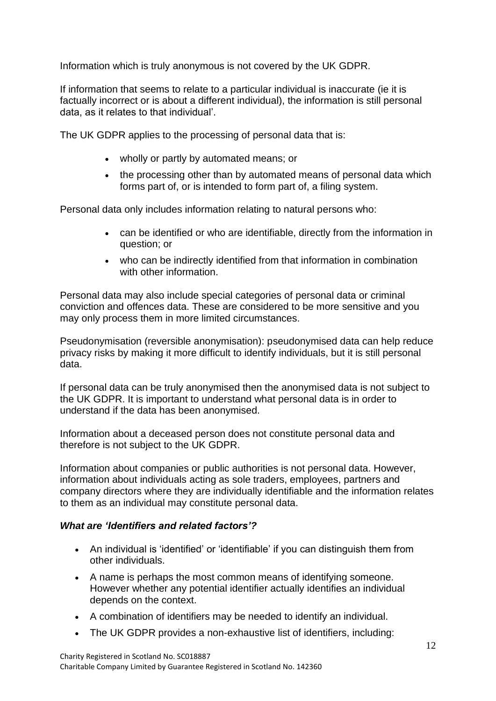Information which is truly anonymous is not covered by the UK GDPR.

If information that seems to relate to a particular individual is inaccurate (ie it is factually incorrect or is about a different individual), the information is still personal data, as it relates to that individual'.

The UK GDPR applies to the processing of personal data that is:

- wholly or partly by automated means; or
- the processing other than by automated means of personal data which forms part of, or is intended to form part of, a filing system.

Personal data only includes information relating to natural persons who:

- can be identified or who are identifiable, directly from the information in question; or
- who can be indirectly identified from that information in combination with other information.

Personal data may also include special categories of personal data or criminal conviction and offences data. These are considered to be more sensitive and you may only process them in more limited circumstances.

Pseudonymisation (reversible anonymisation): pseudonymised data can help reduce privacy risks by making it more difficult to identify individuals, but it is still personal data.

If personal data can be truly anonymised then the anonymised data is not subject to the UK GDPR. It is important to understand what personal data is in order to understand if the data has been anonymised.

Information about a deceased person does not constitute personal data and therefore is not subject to the UK GDPR.

Information about companies or public authorities is not personal data. However, information about individuals acting as sole traders, employees, partners and company directors where they are individually identifiable and the information relates to them as an individual may constitute personal data.

### *What are 'Identifiers and related factors'?*

- An individual is 'identified' or 'identifiable' if you can distinguish them from other individuals.
- A name is perhaps the most common means of identifying someone. However whether any potential identifier actually identifies an individual depends on the context.
- A combination of identifiers may be needed to identify an individual.
- The UK GDPR provides a non-exhaustive list of identifiers, including: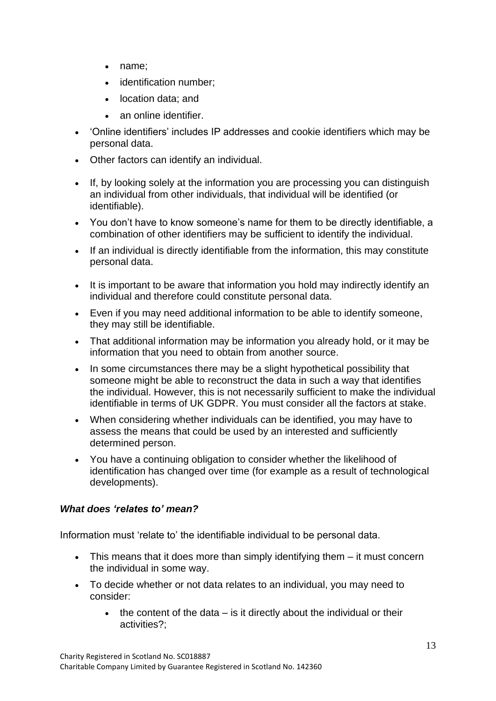- name;
- identification number;
- location data; and
- an online identifier
- 'Online identifiers' includes IP addresses and cookie identifiers which may be personal data.
- Other factors can identify an individual.
- If, by looking solely at the information you are processing you can distinguish an individual from other individuals, that individual will be identified (or identifiable).
- You don't have to know someone's name for them to be directly identifiable, a combination of other identifiers may be sufficient to identify the individual.
- If an individual is directly identifiable from the information, this may constitute personal data.
- It is important to be aware that information you hold may indirectly identify an individual and therefore could constitute personal data.
- Even if you may need additional information to be able to identify someone, they may still be identifiable.
- That additional information may be information you already hold, or it may be information that you need to obtain from another source.
- In some circumstances there may be a slight hypothetical possibility that someone might be able to reconstruct the data in such a way that identifies the individual. However, this is not necessarily sufficient to make the individual identifiable in terms of UK GDPR. You must consider all the factors at stake.
- When considering whether individuals can be identified, you may have to assess the means that could be used by an interested and sufficiently determined person.
- You have a continuing obligation to consider whether the likelihood of identification has changed over time (for example as a result of technological developments).

### *What does 'relates to' mean?*

Information must 'relate to' the identifiable individual to be personal data.

- This means that it does more than simply identifying them it must concern the individual in some way.
- To decide whether or not data relates to an individual, you may need to consider:
	- $\bullet$  the content of the data is it directly about the individual or their activities?;